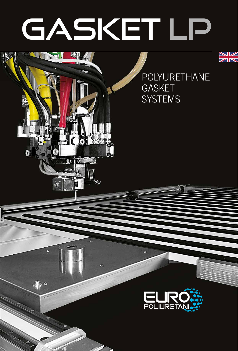# GASKET LP

J.

聯

8010

٥

 $\mathbf{D}$ 



POLYURETHANE GASKET **SYSTEMS** 

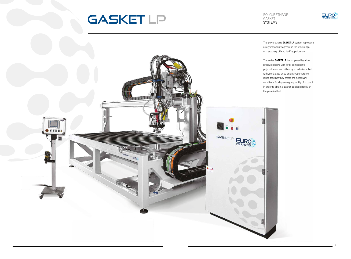The polyurethane **GASKET LP** system represents a very important segment in the wide range of machinery offered by Europoliuretani.

#### POLYURETHANE GASKET **SYSTEMS**



The series **GASKET LP** is composed by a low pressure dosing unit for bi-components polyurethanes and either by a cartesian robot with 2 or 3 axes or by an anthropomorphic robot: together they create the necessary conditions for dispensing a quantity of product in order to obtain a gasket applied directly on



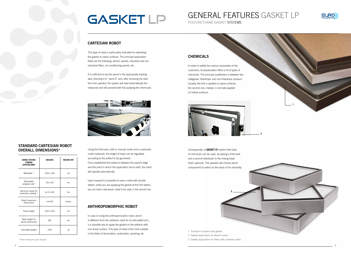#### CHEMICALS

In order to satisfy the various necessities of the customers, Europoliuretani offers a lot of types of chemicals. The principal subdivision is between two categories: thixotropic and non-thixotropic product. Usually, the first is applied on plane surfaces; the second one, instead, is normally applied on hollow surfaces.

Consequently, in **GASKET LP** system both type of chemicals can be used, by adding a third tank and a second distributor in the mixing head (both optional). The operator will choose which components to select on the basis of his necessity.

It is sufficient to lay the panel in the appropriate loading bed, directing it to "point 0" and, after receiving the start from the operator, the system will read automatically the measures and will proceed with the applying the chemicals.



#### CARTESIAN ROBOT

This type of robot is particularly indicated for extending the gasket on plane surfaces. The principal application fields are the following: electric panels, industrial and non industrial filters, air conditioning panels, etc.

Using the third axis, both in manual mode and in automatic mode (optional), the height of head can be regulated according to the artifact to be garnished. Once established the distance between the panel's edge and the point in which the application has to start, the robot will operate automatically.

Upon request it is possible to have a robot with double station: while you are applying the gasket at the first station, you can load a new panel, ready to be used, in the second one.

#### ANTHROPOMORPHIC ROBOT

In case of using the anthropomorphic robot, which is different from the cartesian robot for its articulated arm, it is possible also to apply the gasket on the artifacts with non-linear surface. This type of robot is the most suitable in the fields of illumination, automotive, paneling, etc.



POLYURETHANE GASKET SYSTEMS

## **GASKET LP**

### GENERAL FEATURES GASKET LP

| <b>GENERAL FEATURES</b><br><b>STANDARD</b><br><b>CARTESIAN ROBOT</b> | <b>MEASURES</b> | <b>MEASURE UNIT</b> |
|----------------------------------------------------------------------|-----------------|---------------------|
| Worktable *                                                          | 2300 x 1300     | mm                  |
| Adjustable<br>progress rate*                                         | 200 x 200       | mm                  |
| Minimum panel for<br>automatic reading *                             | da 15 a 500     | mm                  |
| Robot maximum<br>dimensions                                          | max 500         | mm/sec.             |
| Panel height                                                         | 3200 x 4100     | mm                  |
| Table height for<br>panel positioning                                | 800             | mm                  |
| Estimated weight                                                     | 2000            | kg                  |

#### STANDARD CARTESIAN ROBOT OVERALL DIMENSIONS\*

\* Other measures upon request



- 2 Gasket application on electric panel
- 3 Gasket application on filters with cartesian robot







**3**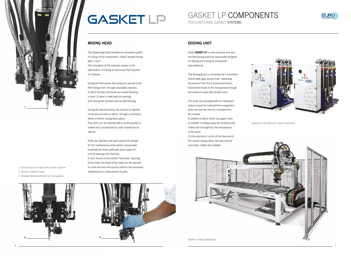#### MIXING HEAD

The dispensing head provides an innovative system of mixing of the components, called "double mixing with L room".

The innovation of this injection system is the optimization of mixing of chemicals that happens in 2 phases.

During the first phase, the product is placed in the first mixing room, through adjustable injectors, in which the two chemicals are mixed following a clash. A valve is used both for opening and closing the injectors and as self-cleaning.

During the second phase, the product is injected in the second room in which, through a mechanic stirrer, a further mixing takes place. This room can be cleaned with a small quantity of solvent and compressed air, both inserted by an injector.

Particular attention has been paid to the design for the maintenance of the whole mixing head, especially for those particular parts subject to normal wearing and cleaning. In fact, thanks to the central "book-like" opening of the head, the heart of the head can be reached in a few seconds and quickly perform the necessary maintenance or replacement of parts.





POLYURETHANE GASKET SYSTEMS GASKET LP COMPONENTS



- 2 Opened injection head
- 3 Disassembling/substitution of mixing group

Dosing unit with two and three components

Gasket LP with protections

### DOSING UNIT

Series **GASKET LP** is a low pressure and very low flow dosing machine specifically designed for dosing and mixing bi-component polyurethanes.

The dosing group is composed by 2 volumetric helical teeth gear pumps that, extracting the product from the 2 pressurized tanks, transmit the fluids to the mixing head through low pressure tubes with double room.

The tanks are equipped with an interspace where a liquid for hot/cold thermoregulation flows and are also thermo insulated from the outside.

In addition a stirrer driven by a gear motor is installed to always keep the products well mixed and homogenize the temperature of the same.

For the electronic control of the flow and of the correct mixing ratios, two very precise volumetric meters are installed.











## **GASKET LP**